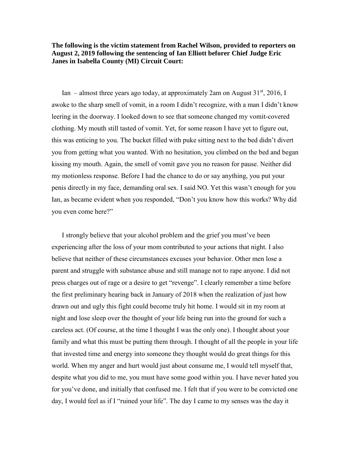**The following is the victim statement from Rachel Wilson, provided to reporters on August 2, 2019 following the sentencing of Ian Elliott beforer Chief Judge Eric Janes in Isabella County (MI) Circuit Court:**

Ian – almost three years ago today, at approximately 2am on August  $31<sup>st</sup>$ , 2016, I awoke to the sharp smell of vomit, in a room I didn't recognize, with a man I didn't know leering in the doorway. I looked down to see that someone changed my vomit-covered clothing. My mouth still tasted of vomit. Yet, for some reason I have yet to figure out, this was enticing to you. The bucket filled with puke sitting next to the bed didn't divert you from getting what you wanted. With no hesitation, you climbed on the bed and began kissing my mouth. Again, the smell of vomit gave you no reason for pause. Neither did my motionless response. Before I had the chance to do or say anything, you put your penis directly in my face, demanding oral sex. I said NO. Yet this wasn't enough for you Ian, as became evident when you responded, "Don't you know how this works? Why did you even come here?"

I strongly believe that your alcohol problem and the grief you must've been experiencing after the loss of your mom contributed to your actions that night. I also believe that neither of these circumstances excuses your behavior. Other men lose a parent and struggle with substance abuse and still manage not to rape anyone. I did not press charges out of rage or a desire to get "revenge". I clearly remember a time before the first preliminary hearing back in January of 2018 when the realization of just how drawn out and ugly this fight could become truly hit home. I would sit in my room at night and lose sleep over the thought of your life being run into the ground for such a careless act. (Of course, at the time I thought I was the only one). I thought about your family and what this must be putting them through. I thought of all the people in your life that invested time and energy into someone they thought would do great things for this world. When my anger and hurt would just about consume me, I would tell myself that, despite what you did to me, you must have some good within you. I have never hated you for you've done, and initially that confused me. I felt that if you were to be convicted one day, I would feel as if I "ruined your life". The day I came to my senses was the day it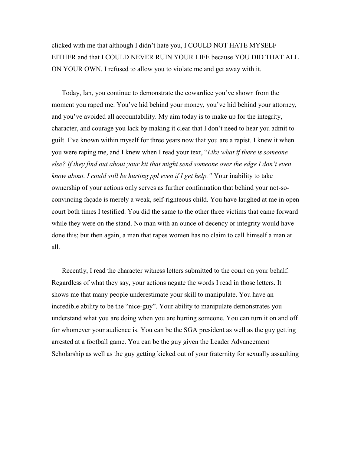clicked with me that although I didn't hate you, I COULD NOT HATE MYSELF EITHER and that I COULD NEVER RUIN YOUR LIFE because YOU DID THAT ALL ON YOUR OWN. I refused to allow you to violate me and get away with it.

Today, Ian, you continue to demonstrate the cowardice you've shown from the moment you raped me. You've hid behind your money, you've hid behind your attorney, and you've avoided all accountability. My aim today is to make up for the integrity, character, and courage you lack by making it clear that I don't need to hear you admit to guilt. I've known within myself for three years now that you are a rapist. I knew it when you were raping me, and I knew when I read your text, "*Like what if there is someone else? If they find out about your kit that might send someone over the edge I don't even know about. I could still be hurting ppl even if I get help."* Your inability to take ownership of your actions only serves as further confirmation that behind your not-soconvincing façade is merely a weak, self-righteous child. You have laughed at me in open court both times I testified. You did the same to the other three victims that came forward while they were on the stand. No man with an ounce of decency or integrity would have done this; but then again, a man that rapes women has no claim to call himself a man at all.

Recently, I read the character witness letters submitted to the court on your behalf. Regardless of what they say, your actions negate the words I read in those letters. It shows me that many people underestimate your skill to manipulate. You have an incredible ability to be the "nice-guy". Your ability to manipulate demonstrates you understand what you are doing when you are hurting someone. You can turn it on and off for whomever your audience is. You can be the SGA president as well as the guy getting arrested at a football game. You can be the guy given the Leader Advancement Scholarship as well as the guy getting kicked out of your fraternity for sexually assaulting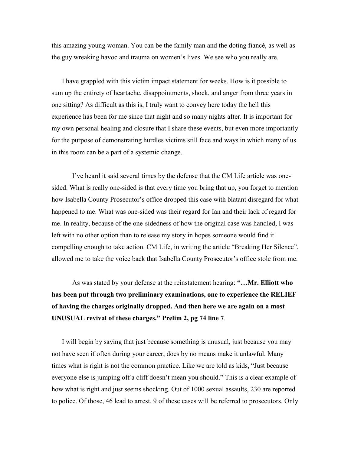this amazing young woman. You can be the family man and the doting fiancé, as well as the guy wreaking havoc and trauma on women's lives. We see who you really are.

I have grappled with this victim impact statement for weeks. How is it possible to sum up the entirety of heartache, disappointments, shock, and anger from three years in one sitting? As difficult as this is, I truly want to convey here today the hell this experience has been for me since that night and so many nights after. It is important for my own personal healing and closure that I share these events, but even more importantly for the purpose of demonstrating hurdles victims still face and ways in which many of us in this room can be a part of a systemic change.

I've heard it said several times by the defense that the CM Life article was onesided. What is really one-sided is that every time you bring that up, you forget to mention how Isabella County Prosecutor's office dropped this case with blatant disregard for what happened to me. What was one-sided was their regard for Ian and their lack of regard for me. In reality, because of the one-sidedness of how the original case was handled, I was left with no other option than to release my story in hopes someone would find it compelling enough to take action. CM Life, in writing the article "Breaking Her Silence", allowed me to take the voice back that Isabella County Prosecutor's office stole from me.

As was stated by your defense at the reinstatement hearing: **"…Mr. Elliott who has been put through two preliminary examinations, one to experience the RELIEF of having the charges originally dropped. And then here we are again on a most UNUSUAL revival of these charges." Prelim 2, pg 74 line 7**.

I will begin by saying that just because something is unusual, just because you may not have seen if often during your career, does by no means make it unlawful. Many times what is right is not the common practice. Like we are told as kids, "Just because everyone else is jumping off a cliff doesn't mean you should." This is a clear example of how what is right and just seems shocking. Out of 1000 sexual assaults, 230 are reported to police. Of those, 46 lead to arrest. 9 of these cases will be referred to prosecutors. Only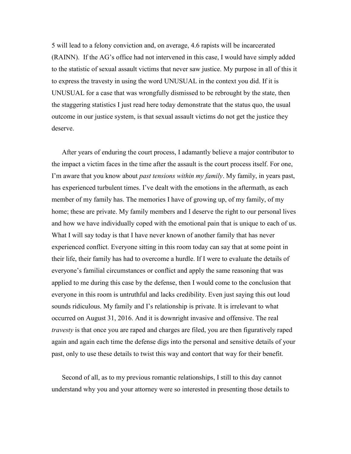5 will lead to a felony conviction and, on average, 4.6 rapists will be incarcerated (RAINN). If the AG's office had not intervened in this case, I would have simply added to the statistic of sexual assault victims that never saw justice. My purpose in all of this it to express the travesty in using the word UNUSUAL in the context you did. If it is UNUSUAL for a case that was wrongfully dismissed to be rebrought by the state, then the staggering statistics I just read here today demonstrate that the status quo, the usual outcome in our justice system, is that sexual assault victims do not get the justice they deserve.

After years of enduring the court process, I adamantly believe a major contributor to the impact a victim faces in the time after the assault is the court process itself. For one, I'm aware that you know about *past tensions within my family*. My family, in years past, has experienced turbulent times. I've dealt with the emotions in the aftermath, as each member of my family has. The memories I have of growing up, of my family, of my home; these are private. My family members and I deserve the right to our personal lives and how we have individually coped with the emotional pain that is unique to each of us. What I will say today is that I have never known of another family that has never experienced conflict. Everyone sitting in this room today can say that at some point in their life, their family has had to overcome a hurdle. If I were to evaluate the details of everyone's familial circumstances or conflict and apply the same reasoning that was applied to me during this case by the defense, then I would come to the conclusion that everyone in this room is untruthful and lacks credibility. Even just saying this out loud sounds ridiculous. My family and I's relationship is private. It is irrelevant to what occurred on August 31, 2016. And it is downright invasive and offensive. The real *travesty* is that once you are raped and charges are filed, you are then figuratively raped again and again each time the defense digs into the personal and sensitive details of your past, only to use these details to twist this way and contort that way for their benefit.

Second of all, as to my previous romantic relationships, I still to this day cannot understand why you and your attorney were so interested in presenting those details to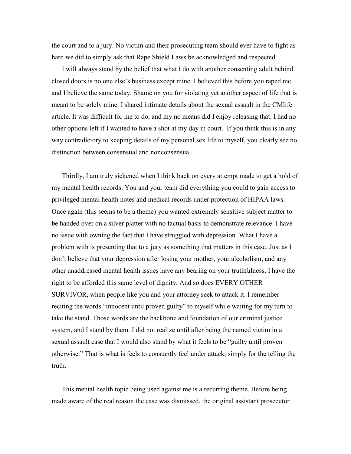the court and to a jury. No victim and their prosecuting team should ever have to fight as hard we did to simply ask that Rape Shield Laws be acknowledged and respected.

I will always stand by the belief that what I do with another consenting adult behind closed doors is no one else's business except mine. I believed this before you raped me and I believe the same today. Shame on you for violating yet another aspect of life that is meant to be solely mine. I shared intimate details about the sexual assault in the CMlife article. It was difficult for me to do, and my no means did I enjoy releasing that. I had no other options left if I wanted to have a shot at my day in court. If you think this is in any way contradictory to keeping details of my personal sex life to myself, you clearly see no distinction between consensual and nonconsensual.

Thirdly, I am truly sickened when I think back on every attempt made to get a hold of my mental health records. You and your team did everything you could to gain access to privileged mental health notes and medical records under protection of HIPAA laws. Once again (this seems to be a theme) you wanted extremely sensitive subject matter to be handed over on a silver platter with no factual basis to demonstrate relevance. I have no issue with owning the fact that I have struggled with depression. What I have a problem with is presenting that to a jury as something that matters in this case. Just as I don't believe that your depression after losing your mother, your alcoholism, and any other unaddressed mental health issues have any bearing on your truthfulness, I have the right to be afforded this same level of dignity. And so does EVERY OTHER SURVIVOR, when people like you and your attorney seek to attack it. I remember reciting the words "innocent until proven guilty" to myself while waiting for my turn to take the stand. Those words are the backbone and foundation of our criminal justice system, and I stand by them. I did not realize until after being the named victim in a sexual assault case that I would also stand by what it feels to be "guilty until proven otherwise." That is what is feels to constantly feel under attack, simply for the telling the truth.

This mental health topic being used against me is a recurring theme. Before being made aware of the real reason the case was dismissed, the original assistant prosecutor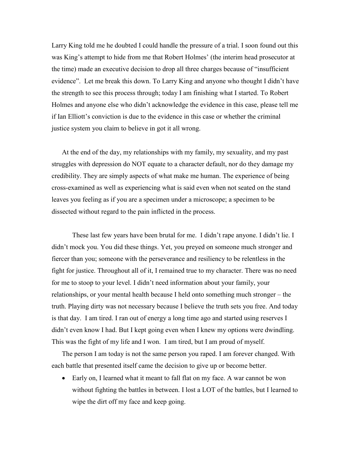Larry King told me he doubted I could handle the pressure of a trial. I soon found out this was King's attempt to hide from me that Robert Holmes' (the interim head prosecutor at the time) made an executive decision to drop all three charges because of "insufficient evidence". Let me break this down. To Larry King and anyone who thought I didn't have the strength to see this process through; today I am finishing what I started. To Robert Holmes and anyone else who didn't acknowledge the evidence in this case, please tell me if Ian Elliott's conviction is due to the evidence in this case or whether the criminal justice system you claim to believe in got it all wrong.

At the end of the day, my relationships with my family, my sexuality, and my past struggles with depression do NOT equate to a character default, nor do they damage my credibility. They are simply aspects of what make me human. The experience of being cross-examined as well as experiencing what is said even when not seated on the stand leaves you feeling as if you are a specimen under a microscope; a specimen to be dissected without regard to the pain inflicted in the process.

These last few years have been brutal for me. I didn't rape anyone. I didn't lie. I didn't mock you. You did these things. Yet, you preyed on someone much stronger and fiercer than you; someone with the perseverance and resiliency to be relentless in the fight for justice. Throughout all of it, I remained true to my character. There was no need for me to stoop to your level. I didn't need information about your family, your relationships, or your mental health because I held onto something much stronger – the truth. Playing dirty was not necessary because I believe the truth sets you free. And today is that day. I am tired. I ran out of energy a long time ago and started using reserves I didn't even know I had. But I kept going even when I knew my options were dwindling. This was the fight of my life and I won. I am tired, but I am proud of myself.

The person I am today is not the same person you raped. I am forever changed. With each battle that presented itself came the decision to give up or become better.

• Early on, I learned what it meant to fall flat on my face. A war cannot be won without fighting the battles in between. I lost a LOT of the battles, but I learned to wipe the dirt off my face and keep going.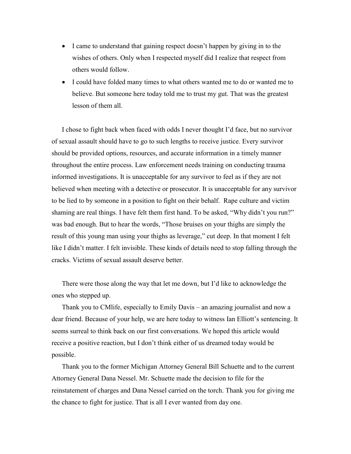- I came to understand that gaining respect doesn't happen by giving in to the wishes of others. Only when I respected myself did I realize that respect from others would follow.
- I could have folded many times to what others wanted me to do or wanted me to believe. But someone here today told me to trust my gut. That was the greatest lesson of them all.

I chose to fight back when faced with odds I never thought I'd face, but no survivor of sexual assault should have to go to such lengths to receive justice. Every survivor should be provided options, resources, and accurate information in a timely manner throughout the entire process. Law enforcement needs training on conducting trauma informed investigations. It is unacceptable for any survivor to feel as if they are not believed when meeting with a detective or prosecutor. It is unacceptable for any survivor to be lied to by someone in a position to fight on their behalf. Rape culture and victim shaming are real things. I have felt them first hand. To be asked, "Why didn't you run?" was bad enough. But to hear the words, "Those bruises on your thighs are simply the result of this young man using your thighs as leverage," cut deep. In that moment I felt like I didn't matter. I felt invisible. These kinds of details need to stop falling through the cracks. Victims of sexual assault deserve better.

There were those along the way that let me down, but I'd like to acknowledge the ones who stepped up.

Thank you to CMlife, especially to Emily Davis – an amazing journalist and now a dear friend. Because of your help, we are here today to witness Ian Elliott's sentencing. It seems surreal to think back on our first conversations. We hoped this article would receive a positive reaction, but I don't think either of us dreamed today would be possible.

Thank you to the former Michigan Attorney General Bill Schuette and to the current Attorney General Dana Nessel. Mr. Schuette made the decision to file for the reinstatement of charges and Dana Nessel carried on the torch. Thank you for giving me the chance to fight for justice. That is all I ever wanted from day one.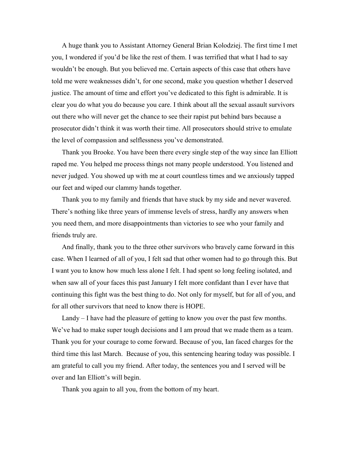A huge thank you to Assistant Attorney General Brian Kolodziej. The first time I met you, I wondered if you'd be like the rest of them. I was terrified that what I had to say wouldn't be enough. But you believed me. Certain aspects of this case that others have told me were weaknesses didn't, for one second, make you question whether I deserved justice. The amount of time and effort you've dedicated to this fight is admirable. It is clear you do what you do because you care. I think about all the sexual assault survivors out there who will never get the chance to see their rapist put behind bars because a prosecutor didn't think it was worth their time. All prosecutors should strive to emulate the level of compassion and selflessness you've demonstrated.

Thank you Brooke. You have been there every single step of the way since Ian Elliott raped me. You helped me process things not many people understood. You listened and never judged. You showed up with me at court countless times and we anxiously tapped our feet and wiped our clammy hands together.

Thank you to my family and friends that have stuck by my side and never wavered. There's nothing like three years of immense levels of stress, hardly any answers when you need them, and more disappointments than victories to see who your family and friends truly are.

And finally, thank you to the three other survivors who bravely came forward in this case. When I learned of all of you, I felt sad that other women had to go through this. But I want you to know how much less alone I felt. I had spent so long feeling isolated, and when saw all of your faces this past January I felt more confidant than I ever have that continuing this fight was the best thing to do. Not only for myself, but for all of you, and for all other survivors that need to know there is HOPE.

Landy – I have had the pleasure of getting to know you over the past few months. We've had to make super tough decisions and I am proud that we made them as a team. Thank you for your courage to come forward. Because of you, Ian faced charges for the third time this last March. Because of you, this sentencing hearing today was possible. I am grateful to call you my friend. After today, the sentences you and I served will be over and Ian Elliott's will begin.

Thank you again to all you, from the bottom of my heart.